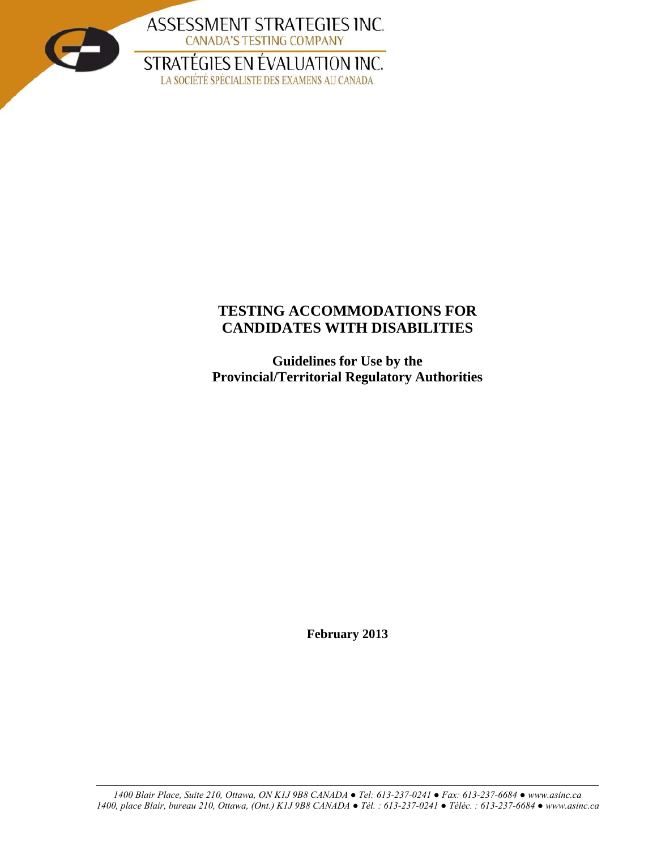

# **TESTING ACCOMMODATIONS FOR CANDIDATES WITH DISABILITIES**

**Guidelines for Use by the Provincial/Territorial Regulatory Authorities**

**February 2013**

*1400 Blair Place, Suite 210, Ottawa, ON K1J 9B8 CANADA ● Tel: 613-237-0241 ● Fax: 613-237-6684 ● www.asinc.ca 1400, place Blair, bureau 210, Ottawa, (Ont.) K1J 9B8 CANADA ● Tél. : 613-237-0241 ● Téléc. : 613-237-6684 ● www.asinc.ca*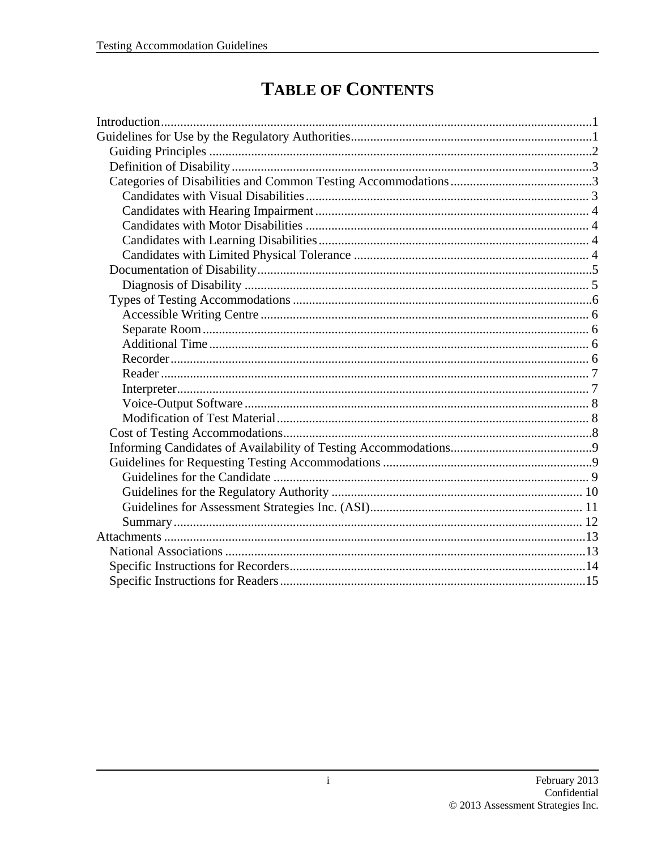# **TABLE OF CONTENTS**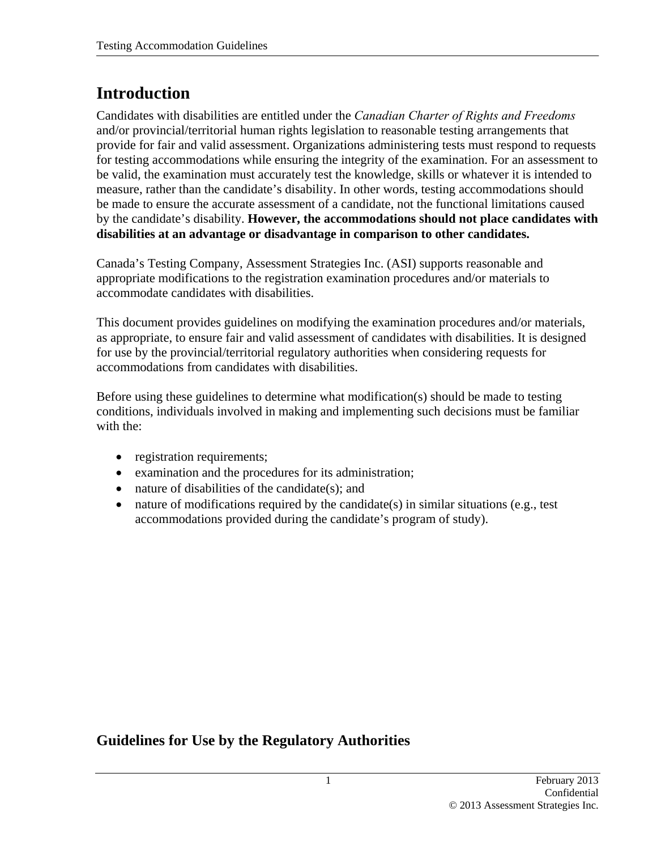# **Introduction**

Candidates with disabilities are entitled under the *Canadian Charter of Rights and Freedoms* and/or provincial/territorial human rights legislation to reasonable testing arrangements that provide for fair and valid assessment. Organizations administering tests must respond to requests for testing accommodations while ensuring the integrity of the examination. For an assessment to be valid, the examination must accurately test the knowledge, skills or whatever it is intended to measure, rather than the candidate's disability. In other words, testing accommodations should be made to ensure the accurate assessment of a candidate, not the functional limitations caused by the candidate's disability. **However, the accommodations should not place candidates with disabilities at an advantage or disadvantage in comparison to other candidates.**

Canada's Testing Company, Assessment Strategies Inc. (ASI) supports reasonable and appropriate modifications to the registration examination procedures and/or materials to accommodate candidates with disabilities.

This document provides guidelines on modifying the examination procedures and/or materials, as appropriate, to ensure fair and valid assessment of candidates with disabilities. It is designed for use by the provincial/territorial regulatory authorities when considering requests for accommodations from candidates with disabilities.

Before using these guidelines to determine what modification(s) should be made to testing conditions, individuals involved in making and implementing such decisions must be familiar with the:

- registration requirements;
- examination and the procedures for its administration;
- nature of disabilities of the candidate(s); and
- nature of modifications required by the candidate(s) in similar situations (e.g., test accommodations provided during the candidate's program of study).

# **Guidelines for Use by the Regulatory Authorities**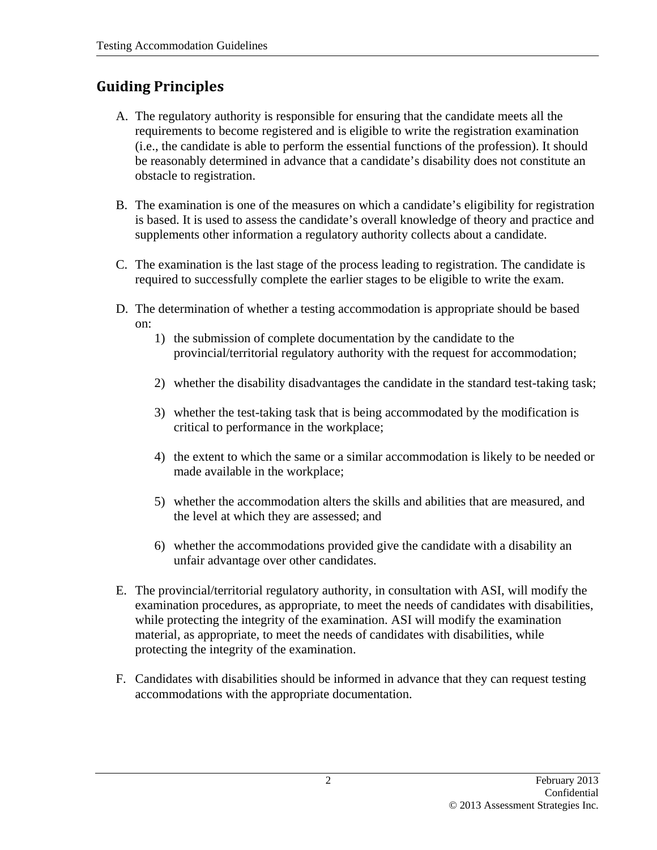# **Guiding Principles**

- A. The regulatory authority is responsible for ensuring that the candidate meets all the requirements to become registered and is eligible to write the registration examination (i.e., the candidate is able to perform the essential functions of the profession). It should be reasonably determined in advance that a candidate's disability does not constitute an obstacle to registration.
- B. The examination is one of the measures on which a candidate's eligibility for registration is based. It is used to assess the candidate's overall knowledge of theory and practice and supplements other information a regulatory authority collects about a candidate.
- C. The examination is the last stage of the process leading to registration. The candidate is required to successfully complete the earlier stages to be eligible to write the exam.
- D. The determination of whether a testing accommodation is appropriate should be based on:
	- 1) the submission of complete documentation by the candidate to the provincial/territorial regulatory authority with the request for accommodation;
	- 2) whether the disability disadvantages the candidate in the standard test-taking task;
	- 3) whether the test-taking task that is being accommodated by the modification is critical to performance in the workplace;
	- 4) the extent to which the same or a similar accommodation is likely to be needed or made available in the workplace;
	- 5) whether the accommodation alters the skills and abilities that are measured, and the level at which they are assessed; and
	- 6) whether the accommodations provided give the candidate with a disability an unfair advantage over other candidates.
- E. The provincial/territorial regulatory authority, in consultation with ASI, will modify the examination procedures, as appropriate, to meet the needs of candidates with disabilities, while protecting the integrity of the examination. ASI will modify the examination material, as appropriate, to meet the needs of candidates with disabilities, while protecting the integrity of the examination.
- F. Candidates with disabilities should be informed in advance that they can request testing accommodations with the appropriate documentation.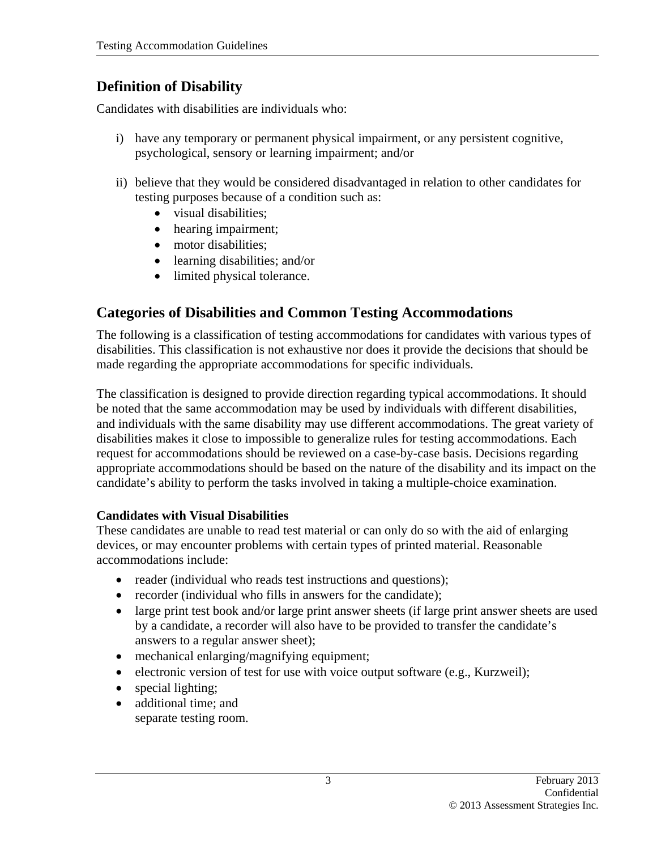# **Definition of Disability**

Candidates with disabilities are individuals who:

- i) have any temporary or permanent physical impairment, or any persistent cognitive, psychological, sensory or learning impairment; and/or
- ii) believe that they would be considered disadvantaged in relation to other candidates for testing purposes because of a condition such as:
	- visual disabilities;
	- hearing impairment;
	- motor disabilities:
	- learning disabilities; and/or
	- limited physical tolerance.

# **Categories of Disabilities and Common Testing Accommodations**

The following is a classification of testing accommodations for candidates with various types of disabilities. This classification is not exhaustive nor does it provide the decisions that should be made regarding the appropriate accommodations for specific individuals.

The classification is designed to provide direction regarding typical accommodations. It should be noted that the same accommodation may be used by individuals with different disabilities, and individuals with the same disability may use different accommodations. The great variety of disabilities makes it close to impossible to generalize rules for testing accommodations. Each request for accommodations should be reviewed on a case-by-case basis. Decisions regarding appropriate accommodations should be based on the nature of the disability and its impact on the candidate's ability to perform the tasks involved in taking a multiple-choice examination.

# **Candidates with Visual Disabilities**

These candidates are unable to read test material or can only do so with the aid of enlarging devices, or may encounter problems with certain types of printed material. Reasonable accommodations include:

- reader (individual who reads test instructions and questions);
- recorder (individual who fills in answers for the candidate);
- large print test book and/or large print answer sheets (if large print answer sheets are used by a candidate, a recorder will also have to be provided to transfer the candidate's answers to a regular answer sheet);
- mechanical enlarging/magnifying equipment;
- electronic version of test for use with voice output software (e.g., Kurzweil);
- special lighting;
- additional time; and
	- separate testing room.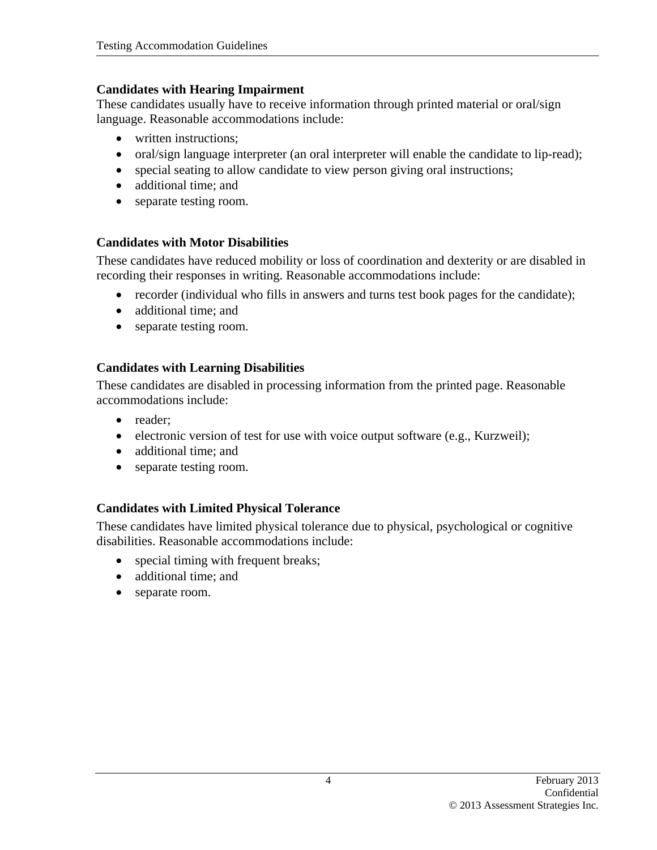#### **Candidates with Hearing Impairment**

These candidates usually have to receive information through printed material or oral/sign language. Reasonable accommodations include:

- written instructions:
- oral/sign language interpreter (an oral interpreter will enable the candidate to lip-read);
- special seating to allow candidate to view person giving oral instructions;
- additional time; and
- separate testing room.

## **Candidates with Motor Disabilities**

These candidates have reduced mobility or loss of coordination and dexterity or are disabled in recording their responses in writing. Reasonable accommodations include:

- recorder (individual who fills in answers and turns test book pages for the candidate);
- additional time; and
- separate testing room.

## **Candidates with Learning Disabilities**

These candidates are disabled in processing information from the printed page. Reasonable accommodations include:

- reader;
- electronic version of test for use with voice output software (e.g., Kurzweil);
- additional time; and
- separate testing room.

## **Candidates with Limited Physical Tolerance**

These candidates have limited physical tolerance due to physical, psychological or cognitive disabilities. Reasonable accommodations include:

- special timing with frequent breaks;
- additional time; and
- separate room.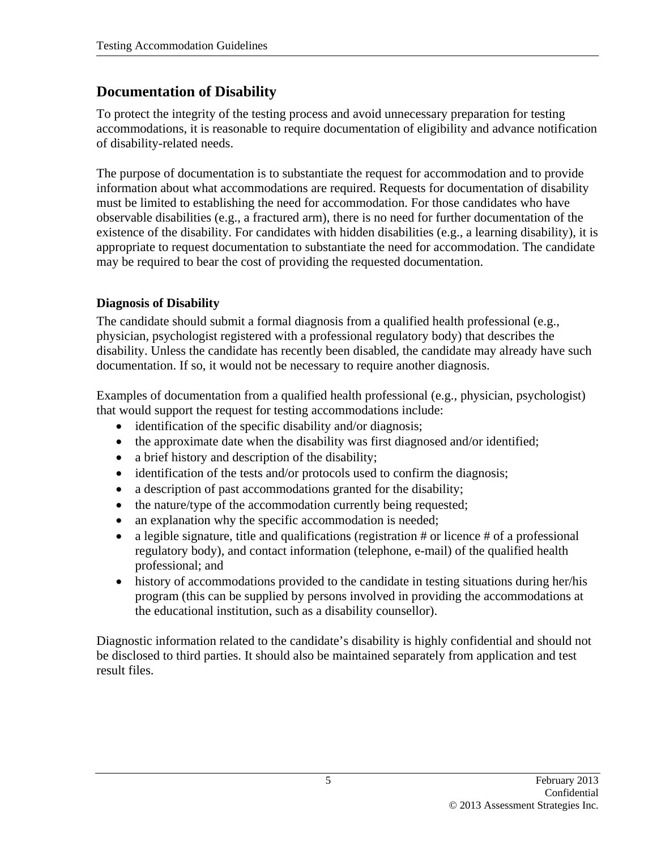# **Documentation of Disability**

To protect the integrity of the testing process and avoid unnecessary preparation for testing accommodations, it is reasonable to require documentation of eligibility and advance notification of disability-related needs.

The purpose of documentation is to substantiate the request for accommodation and to provide information about what accommodations are required. Requests for documentation of disability must be limited to establishing the need for accommodation. For those candidates who have observable disabilities (e.g., a fractured arm), there is no need for further documentation of the existence of the disability. For candidates with hidden disabilities (e.g., a learning disability), it is appropriate to request documentation to substantiate the need for accommodation. The candidate may be required to bear the cost of providing the requested documentation.

## **Diagnosis of Disability**

The candidate should submit a formal diagnosis from a qualified health professional (e.g., physician, psychologist registered with a professional regulatory body) that describes the disability. Unless the candidate has recently been disabled, the candidate may already have such documentation. If so, it would not be necessary to require another diagnosis.

Examples of documentation from a qualified health professional (e.g., physician, psychologist) that would support the request for testing accommodations include:

- identification of the specific disability and/or diagnosis;
- the approximate date when the disability was first diagnosed and/or identified;
- a brief history and description of the disability;
- identification of the tests and/or protocols used to confirm the diagnosis;
- a description of past accommodations granted for the disability;
- the nature/type of the accommodation currently being requested;
- an explanation why the specific accommodation is needed;
- a legible signature, title and qualifications (registration  $#$  or licence  $#$  of a professional regulatory body), and contact information (telephone, e-mail) of the qualified health professional; and
- history of accommodations provided to the candidate in testing situations during her/his program (this can be supplied by persons involved in providing the accommodations at the educational institution, such as a disability counsellor).

Diagnostic information related to the candidate's disability is highly confidential and should not be disclosed to third parties. It should also be maintained separately from application and test result files.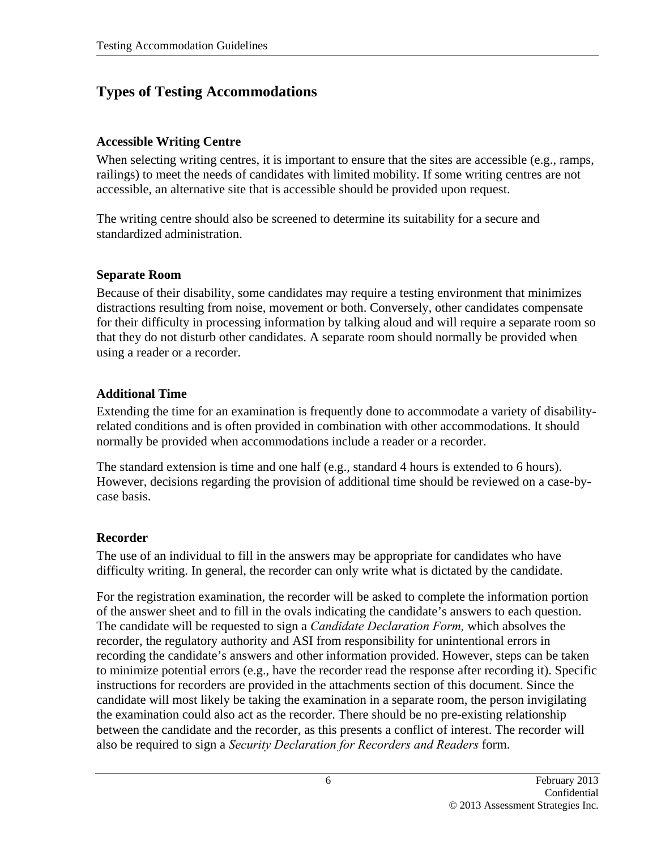# **Types of Testing Accommodations**

### **Accessible Writing Centre**

When selecting writing centres, it is important to ensure that the sites are accessible (e.g., ramps, railings) to meet the needs of candidates with limited mobility. If some writing centres are not accessible, an alternative site that is accessible should be provided upon request.

The writing centre should also be screened to determine its suitability for a secure and standardized administration.

#### **Separate Room**

Because of their disability, some candidates may require a testing environment that minimizes distractions resulting from noise, movement or both. Conversely, other candidates compensate for their difficulty in processing information by talking aloud and will require a separate room so that they do not disturb other candidates. A separate room should normally be provided when using a reader or a recorder.

## **Additional Time**

Extending the time for an examination is frequently done to accommodate a variety of disabilityrelated conditions and is often provided in combination with other accommodations. It should normally be provided when accommodations include a reader or a recorder.

The standard extension is time and one half (e.g., standard 4 hours is extended to 6 hours). However, decisions regarding the provision of additional time should be reviewed on a case-bycase basis.

## **Recorder**

The use of an individual to fill in the answers may be appropriate for candidates who have difficulty writing. In general, the recorder can only write what is dictated by the candidate.

For the registration examination, the recorder will be asked to complete the information portion of the answer sheet and to fill in the ovals indicating the candidate's answers to each question. The candidate will be requested to sign a *Candidate Declaration Form,* which absolves the recorder, the regulatory authority and ASI from responsibility for unintentional errors in recording the candidate's answers and other information provided. However, steps can be taken to minimize potential errors (e.g., have the recorder read the response after recording it). Specific instructions for recorders are provided in the attachments section of this document. Since the candidate will most likely be taking the examination in a separate room, the person invigilating the examination could also act as the recorder. There should be no pre-existing relationship between the candidate and the recorder, as this presents a conflict of interest. The recorder will also be required to sign a *Security Declaration for Recorders and Readers* form.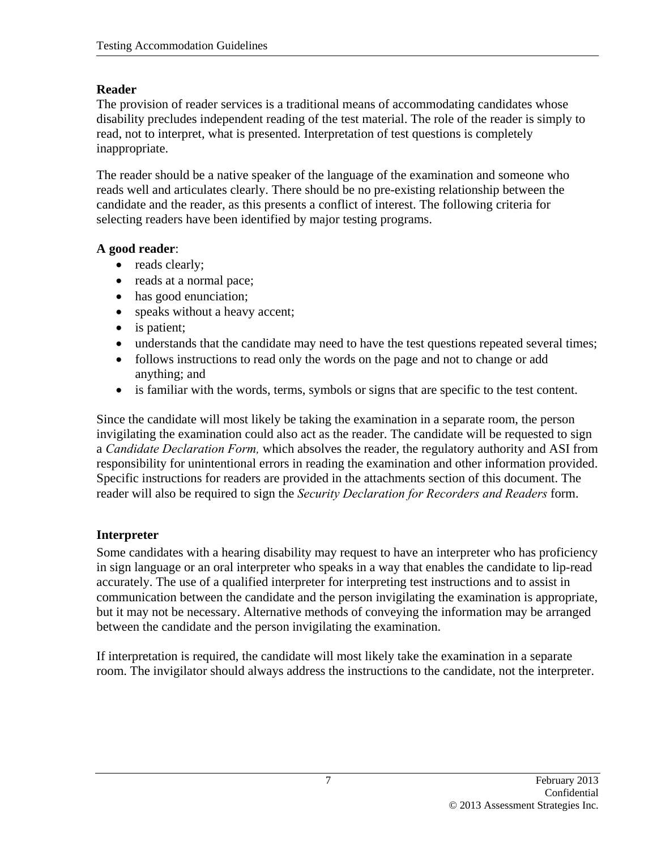## **Reader**

The provision of reader services is a traditional means of accommodating candidates whose disability precludes independent reading of the test material. The role of the reader is simply to read, not to interpret, what is presented. Interpretation of test questions is completely inappropriate.

The reader should be a native speaker of the language of the examination and someone who reads well and articulates clearly. There should be no pre-existing relationship between the candidate and the reader, as this presents a conflict of interest. The following criteria for selecting readers have been identified by major testing programs.

## **A good reader**:

- reads clearly;
- reads at a normal pace;
- has good enunciation;
- speaks without a heavy accent;
- is patient;
- understands that the candidate may need to have the test questions repeated several times;
- follows instructions to read only the words on the page and not to change or add anything; and
- is familiar with the words, terms, symbols or signs that are specific to the test content.

Since the candidate will most likely be taking the examination in a separate room, the person invigilating the examination could also act as the reader. The candidate will be requested to sign a *Candidate Declaration Form,* which absolves the reader, the regulatory authority and ASI from responsibility for unintentional errors in reading the examination and other information provided. Specific instructions for readers are provided in the attachments section of this document. The reader will also be required to sign the *Security Declaration for Recorders and Readers* form.

# **Interpreter**

Some candidates with a hearing disability may request to have an interpreter who has proficiency in sign language or an oral interpreter who speaks in a way that enables the candidate to lip-read accurately. The use of a qualified interpreter for interpreting test instructions and to assist in communication between the candidate and the person invigilating the examination is appropriate, but it may not be necessary. Alternative methods of conveying the information may be arranged between the candidate and the person invigilating the examination.

If interpretation is required, the candidate will most likely take the examination in a separate room. The invigilator should always address the instructions to the candidate, not the interpreter.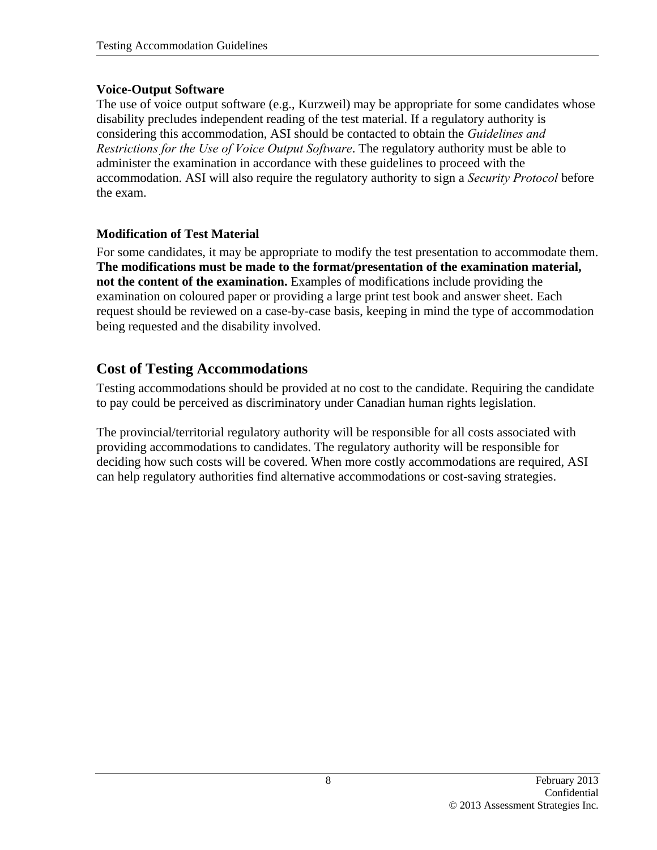### **Voice-Output Software**

The use of voice output software (e.g., Kurzweil) may be appropriate for some candidates whose disability precludes independent reading of the test material. If a regulatory authority is considering this accommodation, ASI should be contacted to obtain the *Guidelines and Restrictions for the Use of Voice Output Software*. The regulatory authority must be able to administer the examination in accordance with these guidelines to proceed with the accommodation. ASI will also require the regulatory authority to sign a *Security Protocol* before the exam.

### **Modification of Test Material**

For some candidates, it may be appropriate to modify the test presentation to accommodate them. **The modifications must be made to the format/presentation of the examination material, not the content of the examination.** Examples of modifications include providing the examination on coloured paper or providing a large print test book and answer sheet. Each request should be reviewed on a case-by-case basis, keeping in mind the type of accommodation being requested and the disability involved.

# **Cost of Testing Accommodations**

Testing accommodations should be provided at no cost to the candidate. Requiring the candidate to pay could be perceived as discriminatory under Canadian human rights legislation.

The provincial/territorial regulatory authority will be responsible for all costs associated with providing accommodations to candidates. The regulatory authority will be responsible for deciding how such costs will be covered. When more costly accommodations are required, ASI can help regulatory authorities find alternative accommodations or cost-saving strategies.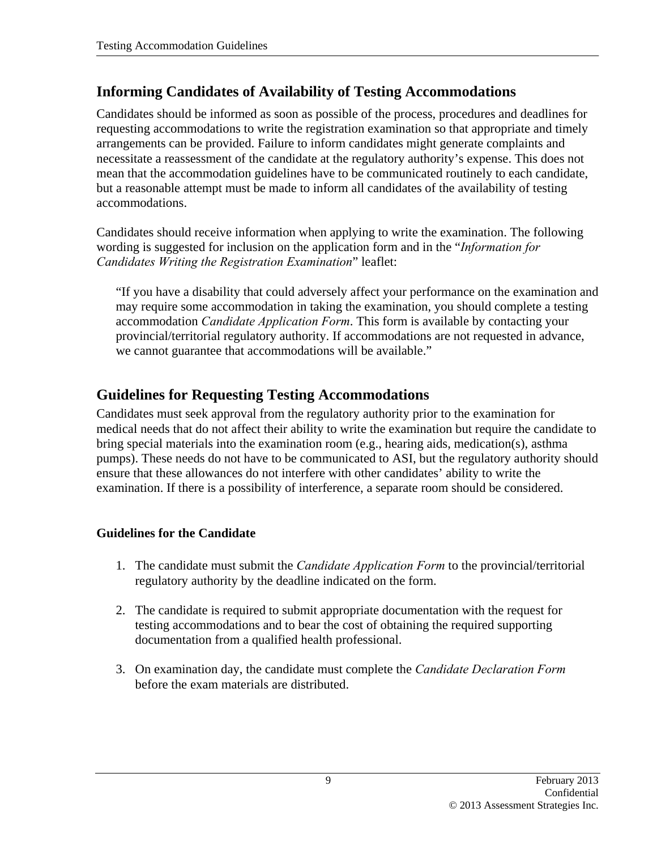# **Informing Candidates of Availability of Testing Accommodations**

Candidates should be informed as soon as possible of the process, procedures and deadlines for requesting accommodations to write the registration examination so that appropriate and timely arrangements can be provided. Failure to inform candidates might generate complaints and necessitate a reassessment of the candidate at the regulatory authority's expense. This does not mean that the accommodation guidelines have to be communicated routinely to each candidate, but a reasonable attempt must be made to inform all candidates of the availability of testing accommodations.

Candidates should receive information when applying to write the examination. The following wording is suggested for inclusion on the application form and in the "*Information for Candidates Writing the Registration Examination*" leaflet:

"If you have a disability that could adversely affect your performance on the examination and may require some accommodation in taking the examination, you should complete a testing accommodation *Candidate Application Form*. This form is available by contacting your provincial/territorial regulatory authority. If accommodations are not requested in advance, we cannot guarantee that accommodations will be available."

# **Guidelines for Requesting Testing Accommodations**

Candidates must seek approval from the regulatory authority prior to the examination for medical needs that do not affect their ability to write the examination but require the candidate to bring special materials into the examination room (e.g., hearing aids, medication(s), asthma pumps). These needs do not have to be communicated to ASI, but the regulatory authority should ensure that these allowances do not interfere with other candidates' ability to write the examination. If there is a possibility of interference, a separate room should be considered.

## **Guidelines for the Candidate**

- 1. The candidate must submit the *Candidate Application Form* to the provincial/territorial regulatory authority by the deadline indicated on the form.
- 2. The candidate is required to submit appropriate documentation with the request for testing accommodations and to bear the cost of obtaining the required supporting documentation from a qualified health professional.
- 3. On examination day, the candidate must complete the *Candidate Declaration Form*  before the exam materials are distributed.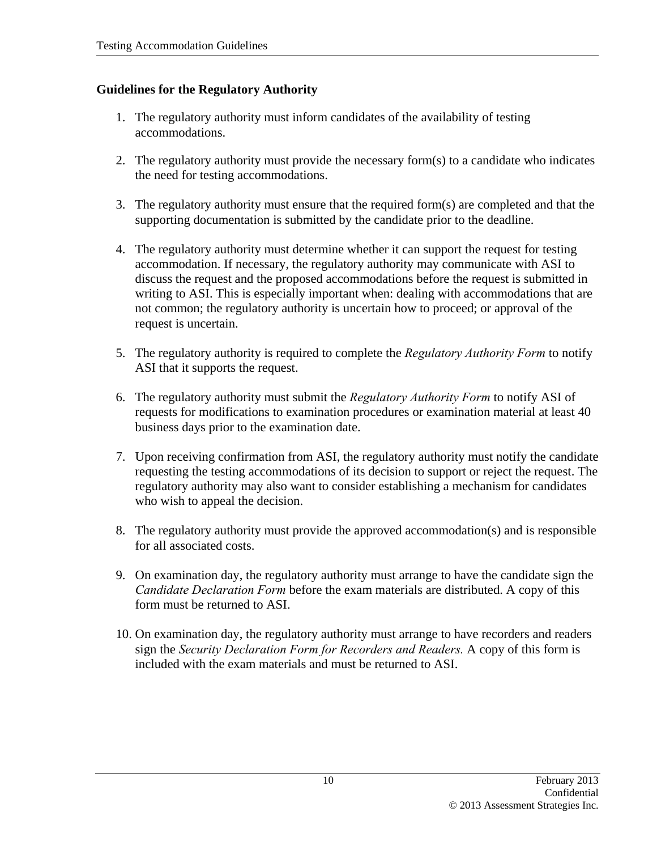## **Guidelines for the Regulatory Authority**

- 1. The regulatory authority must inform candidates of the availability of testing accommodations.
- 2. The regulatory authority must provide the necessary form(s) to a candidate who indicates the need for testing accommodations.
- 3. The regulatory authority must ensure that the required form(s) are completed and that the supporting documentation is submitted by the candidate prior to the deadline.
- 4. The regulatory authority must determine whether it can support the request for testing accommodation. If necessary, the regulatory authority may communicate with ASI to discuss the request and the proposed accommodations before the request is submitted in writing to ASI. This is especially important when: dealing with accommodations that are not common; the regulatory authority is uncertain how to proceed; or approval of the request is uncertain.
- 5. The regulatory authority is required to complete the *Regulatory Authority Form* to notify ASI that it supports the request.
- 6. The regulatory authority must submit the *Regulatory Authority Form* to notify ASI of requests for modifications to examination procedures or examination material at least 40 business days prior to the examination date.
- 7. Upon receiving confirmation from ASI, the regulatory authority must notify the candidate requesting the testing accommodations of its decision to support or reject the request. The regulatory authority may also want to consider establishing a mechanism for candidates who wish to appeal the decision.
- 8. The regulatory authority must provide the approved accommodation(s) and is responsible for all associated costs.
- 9. On examination day, the regulatory authority must arrange to have the candidate sign the *Candidate Declaration Form* before the exam materials are distributed. A copy of this form must be returned to ASI.
- 10. On examination day, the regulatory authority must arrange to have recorders and readers sign the *Security Declaration Form for Recorders and Readers.* A copy of this form is included with the exam materials and must be returned to ASI.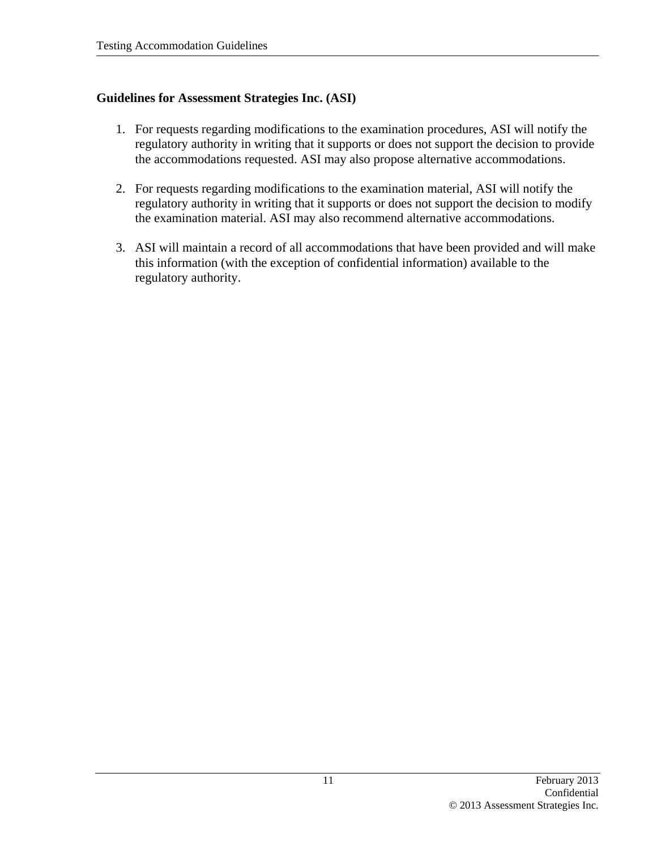### **Guidelines for Assessment Strategies Inc. (ASI)**

- 1. For requests regarding modifications to the examination procedures, ASI will notify the regulatory authority in writing that it supports or does not support the decision to provide the accommodations requested. ASI may also propose alternative accommodations.
- 2. For requests regarding modifications to the examination material, ASI will notify the regulatory authority in writing that it supports or does not support the decision to modify the examination material. ASI may also recommend alternative accommodations.
- 3. ASI will maintain a record of all accommodations that have been provided and will make this information (with the exception of confidential information) available to the regulatory authority.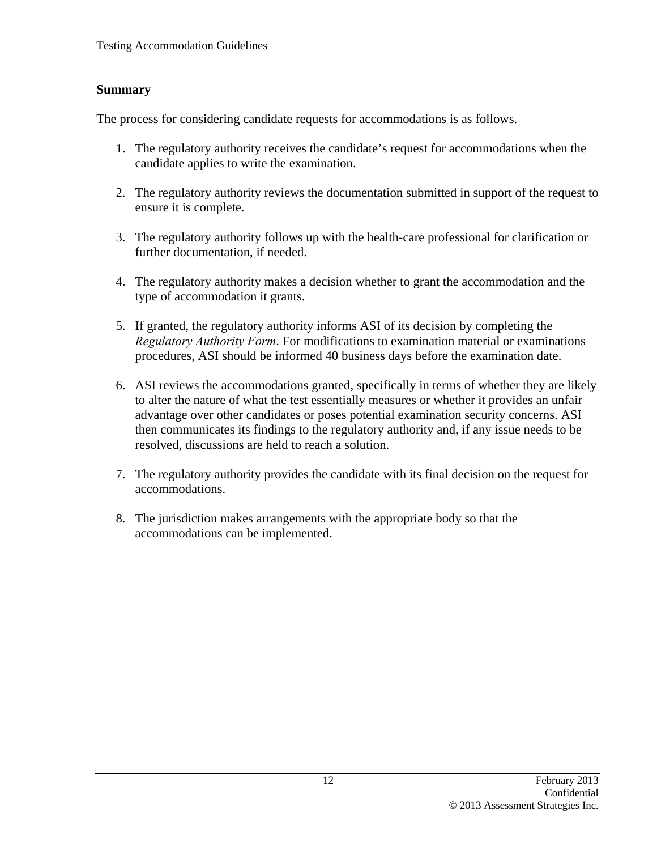#### **Summary**

The process for considering candidate requests for accommodations is as follows.

- 1. The regulatory authority receives the candidate's request for accommodations when the candidate applies to write the examination.
- 2. The regulatory authority reviews the documentation submitted in support of the request to ensure it is complete.
- 3. The regulatory authority follows up with the health-care professional for clarification or further documentation, if needed.
- 4. The regulatory authority makes a decision whether to grant the accommodation and the type of accommodation it grants.
- 5. If granted, the regulatory authority informs ASI of its decision by completing the *Regulatory Authority Form*. For modifications to examination material or examinations procedures, ASI should be informed 40 business days before the examination date.
- 6. ASI reviews the accommodations granted, specifically in terms of whether they are likely to alter the nature of what the test essentially measures or whether it provides an unfair advantage over other candidates or poses potential examination security concerns. ASI then communicates its findings to the regulatory authority and, if any issue needs to be resolved, discussions are held to reach a solution.
- 7. The regulatory authority provides the candidate with its final decision on the request for accommodations.
- 8. The jurisdiction makes arrangements with the appropriate body so that the accommodations can be implemented.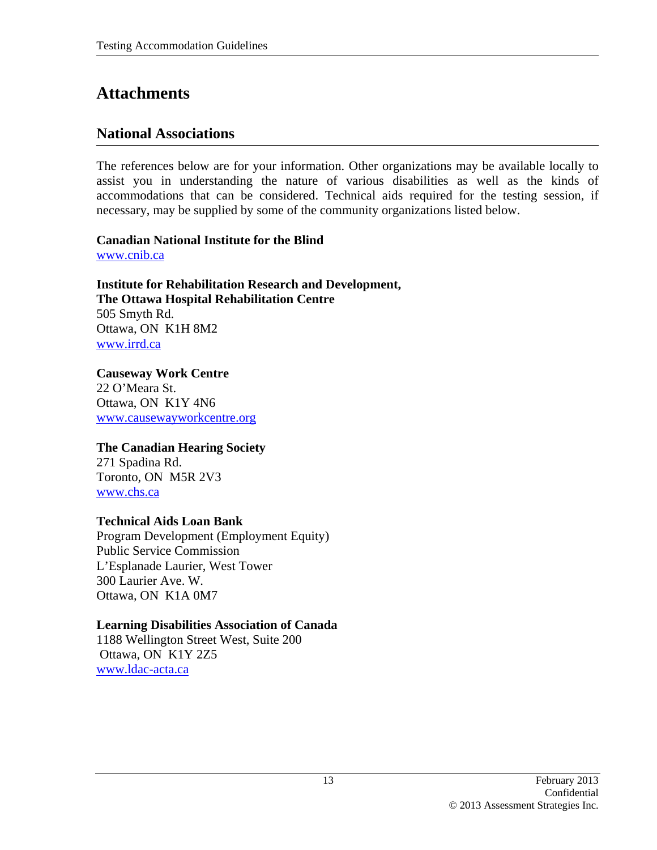# **Attachments**

# **National Associations**

The references below are for your information. Other organizations may be available locally to assist you in understanding the nature of various disabilities as well as the kinds of accommodations that can be considered. Technical aids required for the testing session, if necessary, may be supplied by some of the community organizations listed below.

**Canadian National Institute for the Blind**  www.cnib.ca

**Institute for Rehabilitation Research and Development, The Ottawa Hospital Rehabilitation Centre**  505 Smyth Rd. Ottawa, ON K1H 8M2 www.irrd.ca

**Causeway Work Centre**  22 O'Meara St. Ottawa, ON K1Y 4N6 www.causewayworkcentre.org

#### **The Canadian Hearing Society**

271 Spadina Rd. Toronto, ON M5R 2V3 www.chs.ca

#### **Technical Aids Loan Bank**

Program Development (Employment Equity) Public Service Commission L'Esplanade Laurier, West Tower 300 Laurier Ave. W. Ottawa, ON K1A 0M7

#### **Learning Disabilities Association of Canada**

1188 Wellington Street West, Suite 200 Ottawa, ON K1Y 2Z5 www.ldac-acta.ca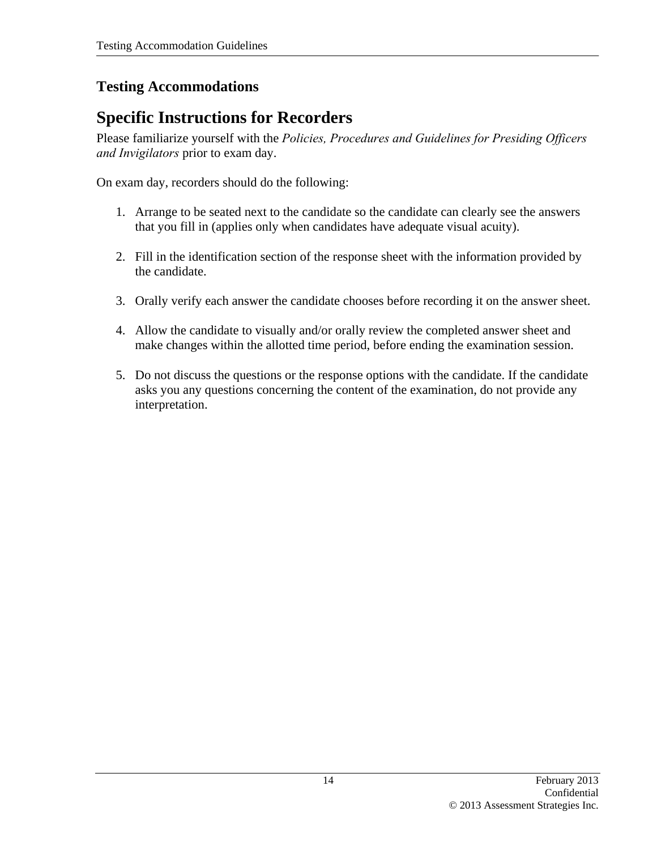# **Testing Accommodations**

# **Specific Instructions for Recorders**

Please familiarize yourself with the *Policies, Procedures and Guidelines for Presiding Officers and Invigilators* prior to exam day.

On exam day, recorders should do the following:

- 1. Arrange to be seated next to the candidate so the candidate can clearly see the answers that you fill in (applies only when candidates have adequate visual acuity).
- 2. Fill in the identification section of the response sheet with the information provided by the candidate.
- 3. Orally verify each answer the candidate chooses before recording it on the answer sheet.
- 4. Allow the candidate to visually and/or orally review the completed answer sheet and make changes within the allotted time period, before ending the examination session.
- 5. Do not discuss the questions or the response options with the candidate. If the candidate asks you any questions concerning the content of the examination, do not provide any interpretation.